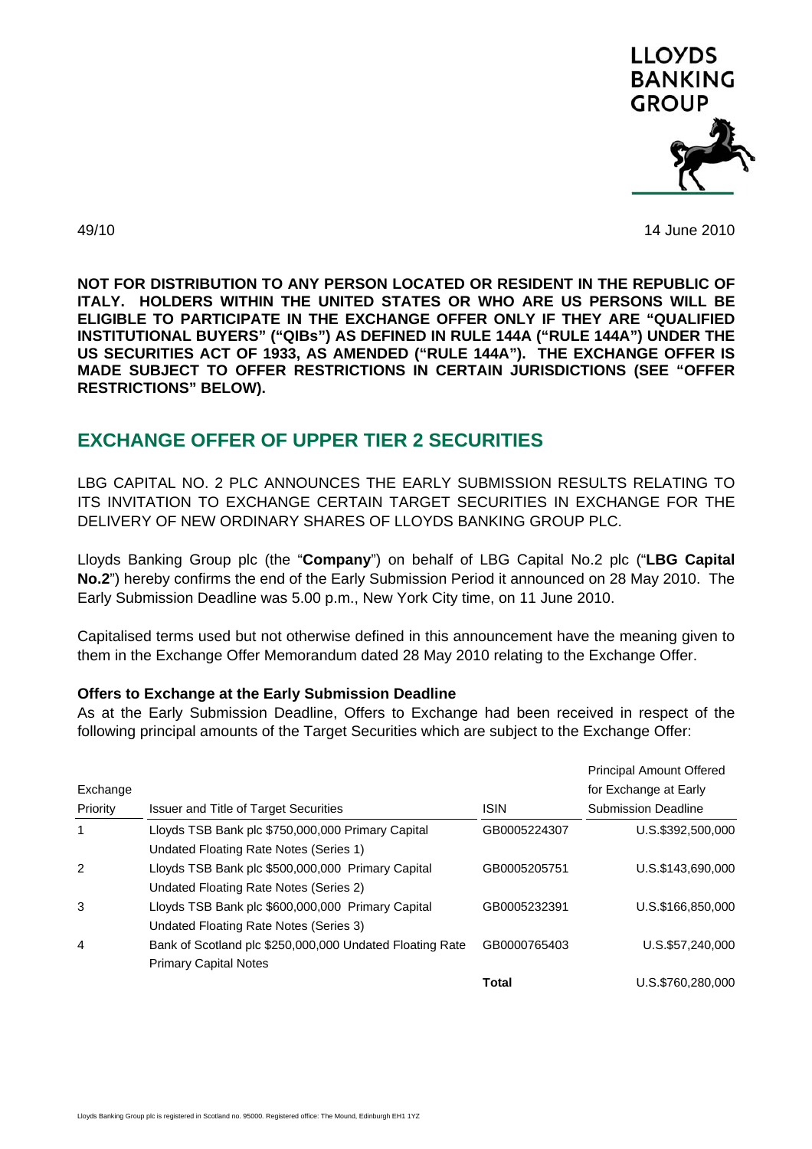

49/10 14 June 2010

**NOT FOR DISTRIBUTION TO ANY PERSON LOCATED OR RESIDENT IN THE REPUBLIC OF ITALY. HOLDERS WITHIN THE UNITED STATES OR WHO ARE US PERSONS WILL BE ELIGIBLE TO PARTICIPATE IN THE EXCHANGE OFFER ONLY IF THEY ARE "QUALIFIED INSTITUTIONAL BUYERS" ("QIBs") AS DEFINED IN RULE 144A ("RULE 144A") UNDER THE US SECURITIES ACT OF 1933, AS AMENDED ("RULE 144A"). THE EXCHANGE OFFER IS MADE SUBJECT TO OFFER RESTRICTIONS IN CERTAIN JURISDICTIONS (SEE "OFFER RESTRICTIONS" BELOW).** 

# **EXCHANGE OFFER OF UPPER TIER 2 SECURITIES**

LBG CAPITAL NO. 2 PLC ANNOUNCES THE EARLY SUBMISSION RESULTS RELATING TO ITS INVITATION TO EXCHANGE CERTAIN TARGET SECURITIES IN EXCHANGE FOR THE DELIVERY OF NEW ORDINARY SHARES OF LLOYDS BANKING GROUP PLC.

Lloyds Banking Group plc (the "**Company**") on behalf of LBG Capital No.2 plc ("**LBG Capital No.2**") hereby confirms the end of the Early Submission Period it announced on 28 May 2010. The Early Submission Deadline was 5.00 p.m., New York City time, on 11 June 2010.

Capitalised terms used but not otherwise defined in this announcement have the meaning given to them in the Exchange Offer Memorandum dated 28 May 2010 relating to the Exchange Offer.

# **Offers to Exchange at the Early Submission Deadline**

As at the Early Submission Deadline, Offers to Exchange had been received in respect of the following principal amounts of the Target Securities which are subject to the Exchange Offer:

|               |                                                          |              | <b>Principal Amount Offered</b> |
|---------------|----------------------------------------------------------|--------------|---------------------------------|
| Exchange      |                                                          |              | for Exchange at Early           |
| Priority      | <b>Issuer and Title of Target Securities</b>             | <b>ISIN</b>  | <b>Submission Deadline</b>      |
| 1             | Lloyds TSB Bank plc \$750,000,000 Primary Capital        | GB0005224307 | U.S.\$392,500,000               |
|               | Undated Floating Rate Notes (Series 1)                   |              |                                 |
| $\mathcal{P}$ | Lloyds TSB Bank plc \$500,000,000 Primary Capital        | GB0005205751 | U.S.\$143,690,000               |
|               | Undated Floating Rate Notes (Series 2)                   |              |                                 |
| 3             | Lloyds TSB Bank plc \$600,000,000 Primary Capital        | GB0005232391 | U.S.\$166,850,000               |
|               | Undated Floating Rate Notes (Series 3)                   |              |                                 |
| 4             | Bank of Scotland plc \$250,000,000 Undated Floating Rate | GB0000765403 | U.S.\$57.240.000                |
|               | <b>Primary Capital Notes</b>                             |              |                                 |
|               |                                                          | Total        | U.S.\$760.280.000               |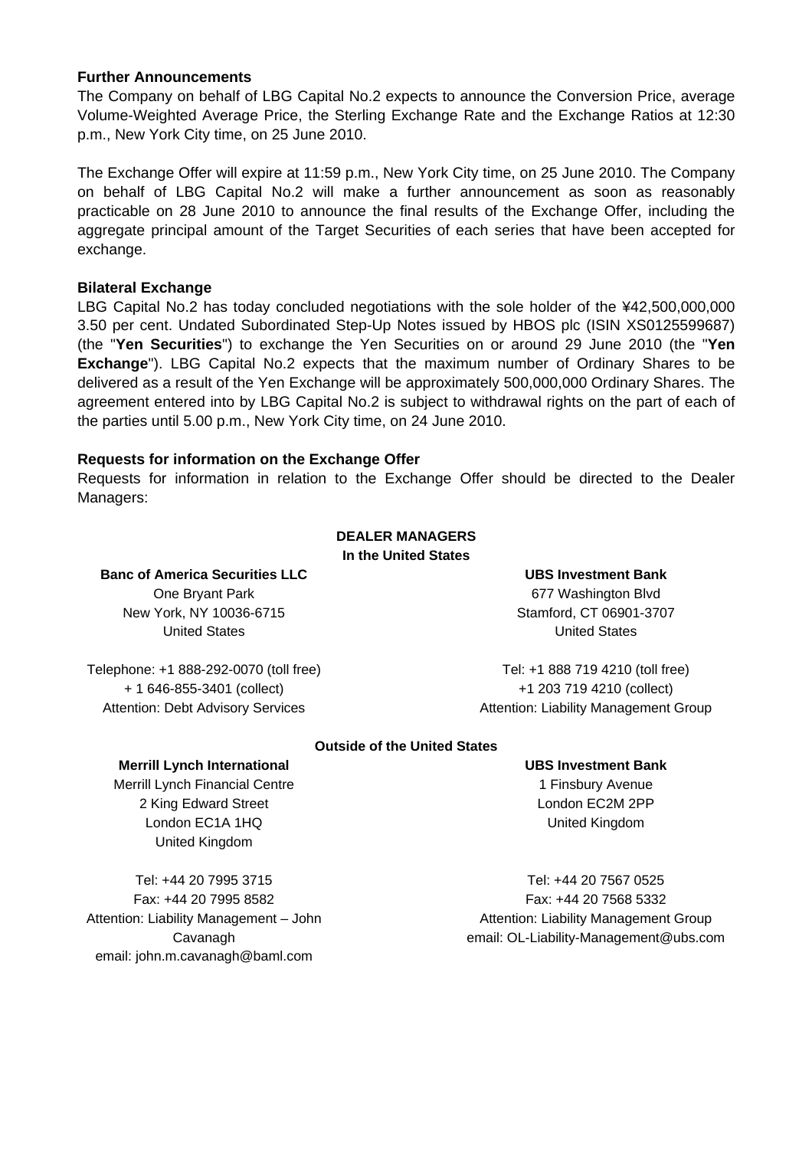#### **Further Announcements**

The Company on behalf of LBG Capital No.2 expects to announce the Conversion Price, average Volume-Weighted Average Price, the Sterling Exchange Rate and the Exchange Ratios at 12:30 p.m., New York City time, on 25 June 2010.

The Exchange Offer will expire at 11:59 p.m., New York City time, on 25 June 2010. The Company on behalf of LBG Capital No.2 will make a further announcement as soon as reasonably practicable on 28 June 2010 to announce the final results of the Exchange Offer, including the aggregate principal amount of the Target Securities of each series that have been accepted for exchange.

# **Bilateral Exchange**

LBG Capital No.2 has today concluded negotiations with the sole holder of the ¥42,500,000,000 3.50 per cent. Undated Subordinated Step-Up Notes issued by HBOS plc (ISIN XS0125599687) (the "**Yen Securities**") to exchange the Yen Securities on or around 29 June 2010 (the "**Yen Exchange**"). LBG Capital No.2 expects that the maximum number of Ordinary Shares to be delivered as a result of the Yen Exchange will be approximately 500,000,000 Ordinary Shares. The agreement entered into by LBG Capital No.2 is subject to withdrawal rights on the part of each of the parties until 5.00 p.m., New York City time, on 24 June 2010.

# **Requests for information on the Exchange Offer**

Requests for information in relation to the Exchange Offer should be directed to the Dealer Managers:

#### **DEALER MANAGERS In the United States**

**Banc of America Securities LLC** One Bryant Park

New York, NY 10036-6715 United States

**UBS Investment Bank** 

677 Washington Blvd Stamford, CT 06901-3707 United States

Telephone: +1 888-292-0070 (toll free) + 1 646-855-3401 (collect) Attention: Debt Advisory Services

 Tel: +1 888 719 4210 (toll free) +1 203 719 4210 (collect) Attention: Liability Management Group

# **Outside of the United States**

#### **UBS Investment Bank**

1 Finsbury Avenue London EC2M 2PP United Kingdom

 Tel: +44 20 7567 0525 Fax: +44 20 7568 5332 Attention: Liability Management Group email: OL-Liability-Management@ubs.com

**Merrill Lynch International** 

Merrill Lynch Financial Centre 2 King Edward Street London EC1A 1HQ United Kingdom

Tel: +44 20 7995 3715 Fax: +44 20 7995 8582 Attention: Liability Management – John Cavanagh email: john.m.cavanagh@baml.com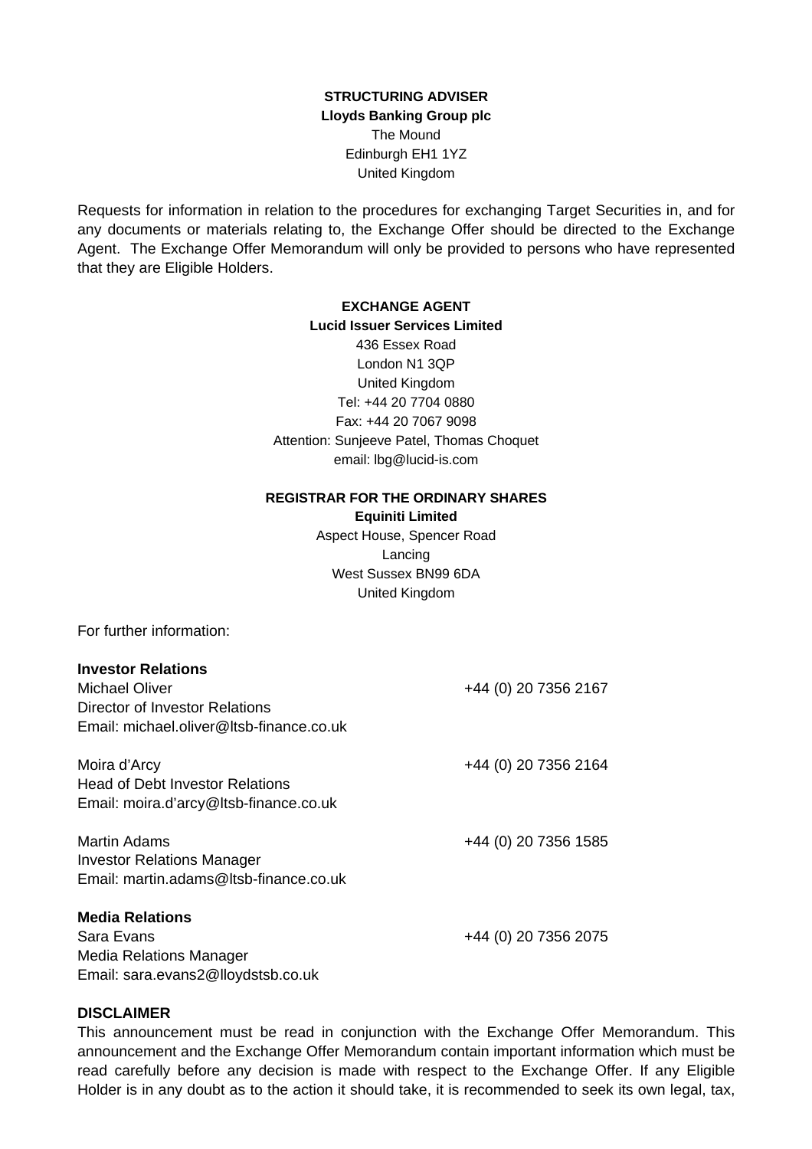# **STRUCTURING ADVISER Lloyds Banking Group plc** The Mound Edinburgh EH1 1YZ United Kingdom

Requests for information in relation to the procedures for exchanging Target Securities in, and for any documents or materials relating to, the Exchange Offer should be directed to the Exchange Agent. The Exchange Offer Memorandum will only be provided to persons who have represented that they are Eligible Holders.

# **EXCHANGE AGENT**

**Lucid Issuer Services Limited** 436 Essex Road London N1 3QP United Kingdom Tel: +44 20 7704 0880 Fax: +44 20 7067 9098 Attention: Sunjeeve Patel, Thomas Choquet email: lbg@lucid-is.com

#### **REGISTRAR FOR THE ORDINARY SHARES**

**Equiniti Limited** Aspect House, Spencer Road Lancing West Sussex BN99 6DA United Kingdom

For further information:

| <b>Investor Relations</b>                |                      |
|------------------------------------------|----------------------|
| Michael Oliver                           | +44 (0) 20 7356 2167 |
| Director of Investor Relations           |                      |
| Email: michael.oliver@ltsb-finance.co.uk |                      |
| Moira d'Arcy                             | +44 (0) 20 7356 2164 |
| <b>Head of Debt Investor Relations</b>   |                      |
| Email: moira.d'arcy@ltsb-finance.co.uk   |                      |
| <b>Martin Adams</b>                      | +44 (0) 20 7356 1585 |
| <b>Investor Relations Manager</b>        |                      |
| Email: martin.adams@ltsb-finance.co.uk   |                      |
| <b>Media Relations</b>                   |                      |
| Sara Evans                               | +44 (0) 20 7356 2075 |
| Media Relations Manager                  |                      |

Email: sara.evans2@lloydstsb.co.uk

# **DISCLAIMER**

This announcement must be read in conjunction with the Exchange Offer Memorandum. This announcement and the Exchange Offer Memorandum contain important information which must be read carefully before any decision is made with respect to the Exchange Offer. If any Eligible Holder is in any doubt as to the action it should take, it is recommended to seek its own legal, tax,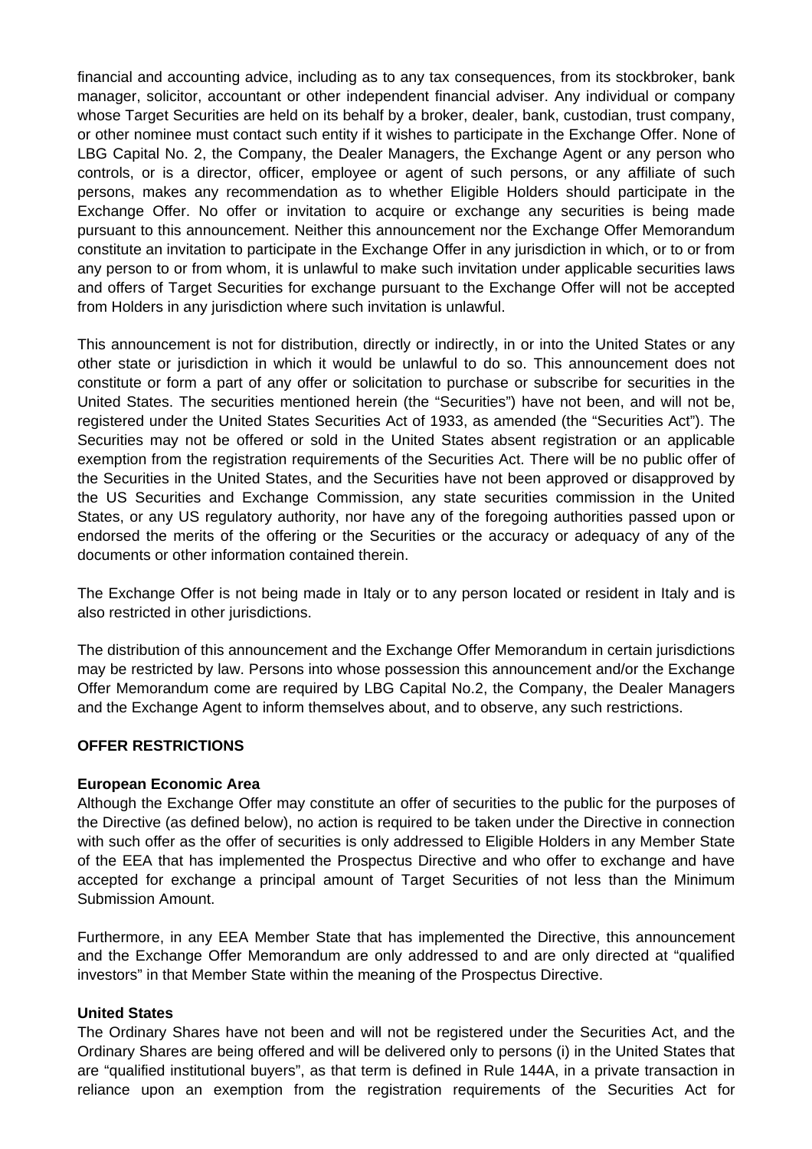financial and accounting advice, including as to any tax consequences, from its stockbroker, bank manager, solicitor, accountant or other independent financial adviser. Any individual or company whose Target Securities are held on its behalf by a broker, dealer, bank, custodian, trust company, or other nominee must contact such entity if it wishes to participate in the Exchange Offer. None of LBG Capital No. 2, the Company, the Dealer Managers, the Exchange Agent or any person who controls, or is a director, officer, employee or agent of such persons, or any affiliate of such persons, makes any recommendation as to whether Eligible Holders should participate in the Exchange Offer. No offer or invitation to acquire or exchange any securities is being made pursuant to this announcement. Neither this announcement nor the Exchange Offer Memorandum constitute an invitation to participate in the Exchange Offer in any jurisdiction in which, or to or from any person to or from whom, it is unlawful to make such invitation under applicable securities laws and offers of Target Securities for exchange pursuant to the Exchange Offer will not be accepted from Holders in any jurisdiction where such invitation is unlawful.

This announcement is not for distribution, directly or indirectly, in or into the United States or any other state or jurisdiction in which it would be unlawful to do so. This announcement does not constitute or form a part of any offer or solicitation to purchase or subscribe for securities in the United States. The securities mentioned herein (the "Securities") have not been, and will not be, registered under the United States Securities Act of 1933, as amended (the "Securities Act"). The Securities may not be offered or sold in the United States absent registration or an applicable exemption from the registration requirements of the Securities Act. There will be no public offer of the Securities in the United States, and the Securities have not been approved or disapproved by the US Securities and Exchange Commission, any state securities commission in the United States, or any US regulatory authority, nor have any of the foregoing authorities passed upon or endorsed the merits of the offering or the Securities or the accuracy or adequacy of any of the documents or other information contained therein.

The Exchange Offer is not being made in Italy or to any person located or resident in Italy and is also restricted in other jurisdictions.

The distribution of this announcement and the Exchange Offer Memorandum in certain jurisdictions may be restricted by law. Persons into whose possession this announcement and/or the Exchange Offer Memorandum come are required by LBG Capital No.2, the Company, the Dealer Managers and the Exchange Agent to inform themselves about, and to observe, any such restrictions.

# **OFFER RESTRICTIONS**

#### **European Economic Area**

Although the Exchange Offer may constitute an offer of securities to the public for the purposes of the Directive (as defined below), no action is required to be taken under the Directive in connection with such offer as the offer of securities is only addressed to Eligible Holders in any Member State of the EEA that has implemented the Prospectus Directive and who offer to exchange and have accepted for exchange a principal amount of Target Securities of not less than the Minimum Submission Amount.

Furthermore, in any EEA Member State that has implemented the Directive, this announcement and the Exchange Offer Memorandum are only addressed to and are only directed at "qualified investors" in that Member State within the meaning of the Prospectus Directive.

#### **United States**

The Ordinary Shares have not been and will not be registered under the Securities Act, and the Ordinary Shares are being offered and will be delivered only to persons (i) in the United States that are "qualified institutional buyers", as that term is defined in Rule 144A, in a private transaction in reliance upon an exemption from the registration requirements of the Securities Act for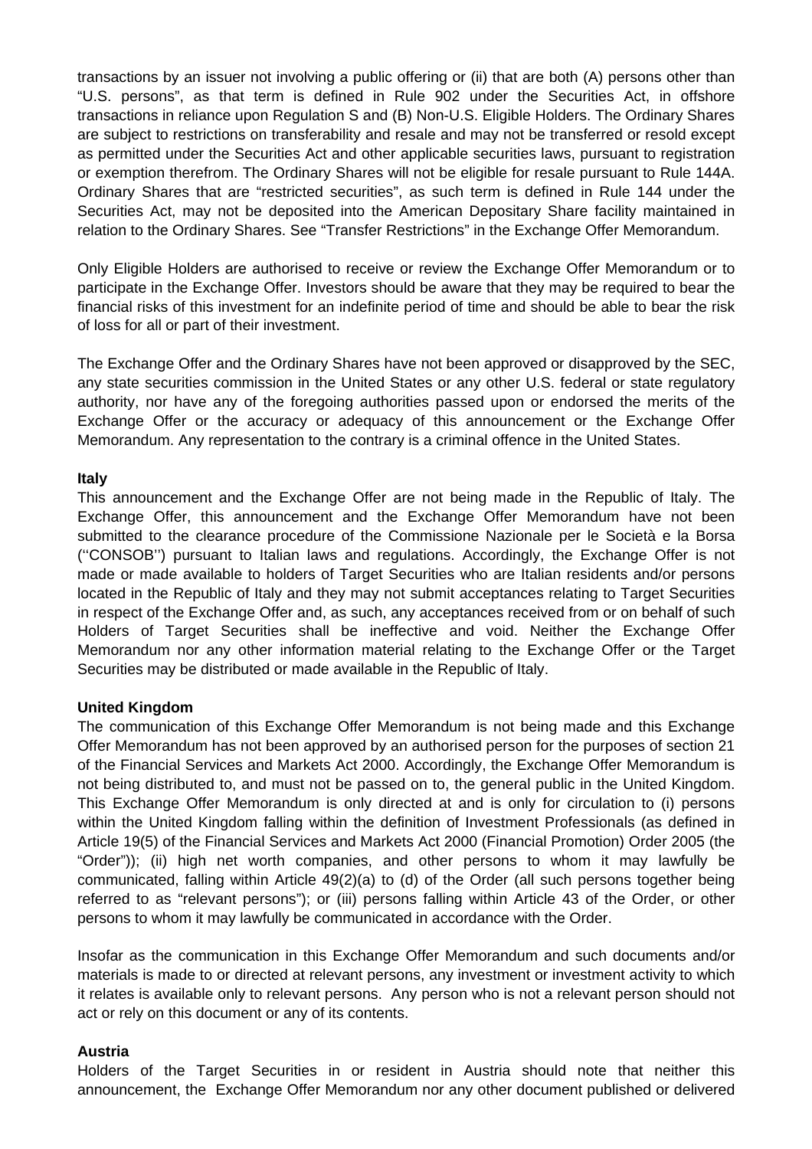transactions by an issuer not involving a public offering or (ii) that are both (A) persons other than "U.S. persons", as that term is defined in Rule 902 under the Securities Act, in offshore transactions in reliance upon Regulation S and (B) Non-U.S. Eligible Holders. The Ordinary Shares are subject to restrictions on transferability and resale and may not be transferred or resold except as permitted under the Securities Act and other applicable securities laws, pursuant to registration or exemption therefrom. The Ordinary Shares will not be eligible for resale pursuant to Rule 144A. Ordinary Shares that are "restricted securities", as such term is defined in Rule 144 under the Securities Act, may not be deposited into the American Depositary Share facility maintained in relation to the Ordinary Shares. See "Transfer Restrictions" in the Exchange Offer Memorandum.

Only Eligible Holders are authorised to receive or review the Exchange Offer Memorandum or to participate in the Exchange Offer. Investors should be aware that they may be required to bear the financial risks of this investment for an indefinite period of time and should be able to bear the risk of loss for all or part of their investment.

The Exchange Offer and the Ordinary Shares have not been approved or disapproved by the SEC, any state securities commission in the United States or any other U.S. federal or state regulatory authority, nor have any of the foregoing authorities passed upon or endorsed the merits of the Exchange Offer or the accuracy or adequacy of this announcement or the Exchange Offer Memorandum. Any representation to the contrary is a criminal offence in the United States.

# **Italy**

This announcement and the Exchange Offer are not being made in the Republic of Italy. The Exchange Offer, this announcement and the Exchange Offer Memorandum have not been submitted to the clearance procedure of the Commissione Nazionale per le Società e la Borsa (''CONSOB'') pursuant to Italian laws and regulations. Accordingly, the Exchange Offer is not made or made available to holders of Target Securities who are Italian residents and/or persons located in the Republic of Italy and they may not submit acceptances relating to Target Securities in respect of the Exchange Offer and, as such, any acceptances received from or on behalf of such Holders of Target Securities shall be ineffective and void. Neither the Exchange Offer Memorandum nor any other information material relating to the Exchange Offer or the Target Securities may be distributed or made available in the Republic of Italy.

# **United Kingdom**

The communication of this Exchange Offer Memorandum is not being made and this Exchange Offer Memorandum has not been approved by an authorised person for the purposes of section 21 of the Financial Services and Markets Act 2000. Accordingly, the Exchange Offer Memorandum is not being distributed to, and must not be passed on to, the general public in the United Kingdom. This Exchange Offer Memorandum is only directed at and is only for circulation to (i) persons within the United Kingdom falling within the definition of Investment Professionals (as defined in Article 19(5) of the Financial Services and Markets Act 2000 (Financial Promotion) Order 2005 (the "Order")); (ii) high net worth companies, and other persons to whom it may lawfully be communicated, falling within Article 49(2)(a) to (d) of the Order (all such persons together being referred to as "relevant persons"); or (iii) persons falling within Article 43 of the Order, or other persons to whom it may lawfully be communicated in accordance with the Order.

Insofar as the communication in this Exchange Offer Memorandum and such documents and/or materials is made to or directed at relevant persons, any investment or investment activity to which it relates is available only to relevant persons. Any person who is not a relevant person should not act or rely on this document or any of its contents.

# **Austria**

Holders of the Target Securities in or resident in Austria should note that neither this announcement, the Exchange Offer Memorandum nor any other document published or delivered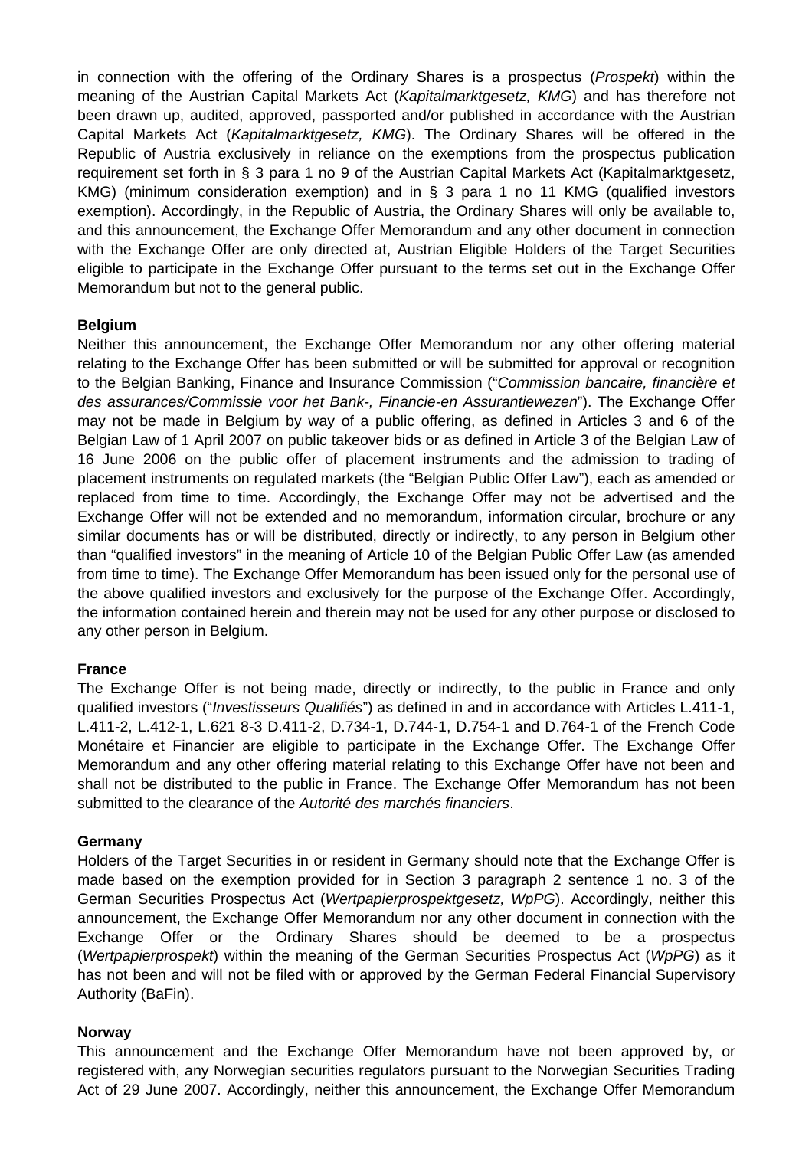in connection with the offering of the Ordinary Shares is a prospectus (*Prospekt*) within the meaning of the Austrian Capital Markets Act (*Kapitalmarktgesetz, KMG*) and has therefore not been drawn up, audited, approved, passported and/or published in accordance with the Austrian Capital Markets Act (*Kapitalmarktgesetz, KMG*). The Ordinary Shares will be offered in the Republic of Austria exclusively in reliance on the exemptions from the prospectus publication requirement set forth in § 3 para 1 no 9 of the Austrian Capital Markets Act (Kapitalmarktgesetz, KMG) (minimum consideration exemption) and in § 3 para 1 no 11 KMG (qualified investors exemption). Accordingly, in the Republic of Austria, the Ordinary Shares will only be available to, and this announcement, the Exchange Offer Memorandum and any other document in connection with the Exchange Offer are only directed at, Austrian Eligible Holders of the Target Securities eligible to participate in the Exchange Offer pursuant to the terms set out in the Exchange Offer Memorandum but not to the general public.

# **Belgium**

Neither this announcement, the Exchange Offer Memorandum nor any other offering material relating to the Exchange Offer has been submitted or will be submitted for approval or recognition to the Belgian Banking, Finance and Insurance Commission ("*Commission bancaire, financière et des assurances/Commissie voor het Bank-, Financie-en Assurantiewezen*"). The Exchange Offer may not be made in Belgium by way of a public offering, as defined in Articles 3 and 6 of the Belgian Law of 1 April 2007 on public takeover bids or as defined in Article 3 of the Belgian Law of 16 June 2006 on the public offer of placement instruments and the admission to trading of placement instruments on regulated markets (the "Belgian Public Offer Law"), each as amended or replaced from time to time. Accordingly, the Exchange Offer may not be advertised and the Exchange Offer will not be extended and no memorandum, information circular, brochure or any similar documents has or will be distributed, directly or indirectly, to any person in Belgium other than "qualified investors" in the meaning of Article 10 of the Belgian Public Offer Law (as amended from time to time). The Exchange Offer Memorandum has been issued only for the personal use of the above qualified investors and exclusively for the purpose of the Exchange Offer. Accordingly, the information contained herein and therein may not be used for any other purpose or disclosed to any other person in Belgium.

# **France**

The Exchange Offer is not being made, directly or indirectly, to the public in France and only qualified investors ("*Investisseurs Qualifiés*") as defined in and in accordance with Articles L.411-1, L.411-2, L.412-1, L.621 8-3 D.411-2, D.734-1, D.744-1, D.754-1 and D.764-1 of the French Code Monétaire et Financier are eligible to participate in the Exchange Offer. The Exchange Offer Memorandum and any other offering material relating to this Exchange Offer have not been and shall not be distributed to the public in France. The Exchange Offer Memorandum has not been submitted to the clearance of the *Autorité des marchés financiers*.

#### **Germany**

Holders of the Target Securities in or resident in Germany should note that the Exchange Offer is made based on the exemption provided for in Section 3 paragraph 2 sentence 1 no. 3 of the German Securities Prospectus Act (*Wertpapierprospektgesetz, WpPG*). Accordingly, neither this announcement, the Exchange Offer Memorandum nor any other document in connection with the Exchange Offer or the Ordinary Shares should be deemed to be a prospectus (*Wertpapierprospekt*) within the meaning of the German Securities Prospectus Act (*WpPG*) as it has not been and will not be filed with or approved by the German Federal Financial Supervisory Authority (BaFin).

#### **Norway**

This announcement and the Exchange Offer Memorandum have not been approved by, or registered with, any Norwegian securities regulators pursuant to the Norwegian Securities Trading Act of 29 June 2007. Accordingly, neither this announcement, the Exchange Offer Memorandum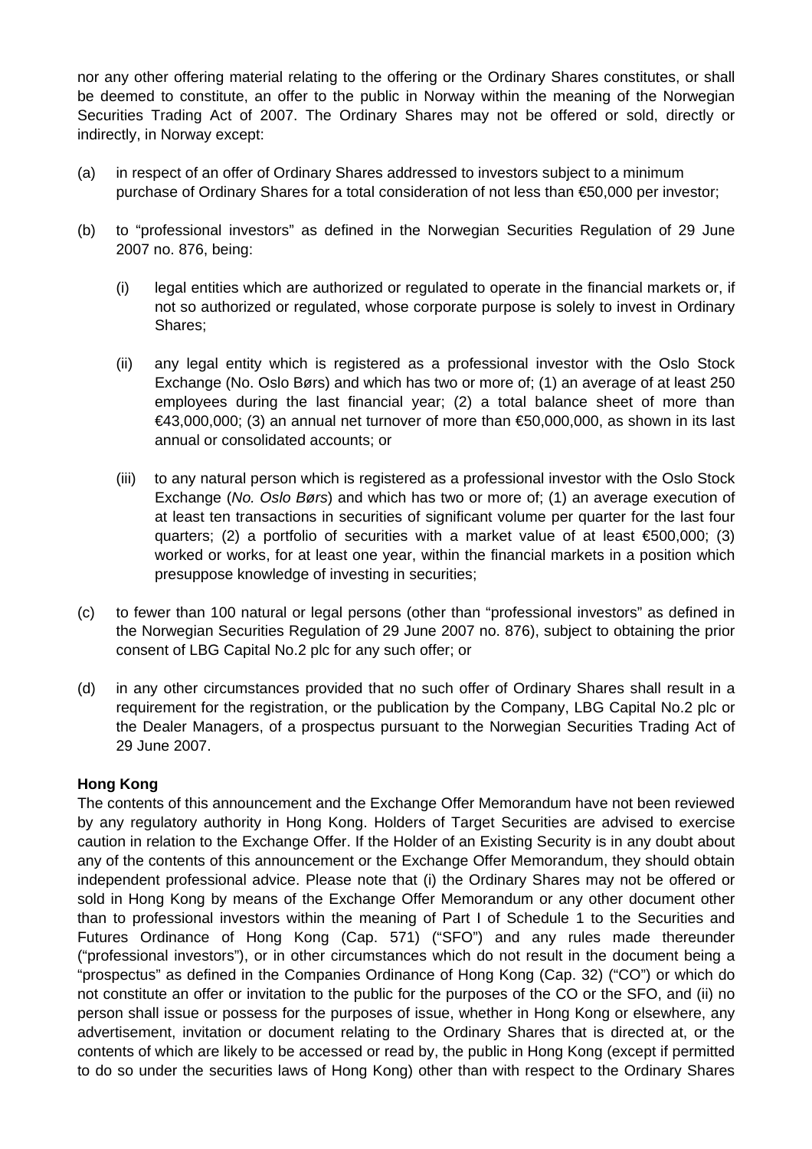nor any other offering material relating to the offering or the Ordinary Shares constitutes, or shall be deemed to constitute, an offer to the public in Norway within the meaning of the Norwegian Securities Trading Act of 2007. The Ordinary Shares may not be offered or sold, directly or indirectly, in Norway except:

- (a) in respect of an offer of Ordinary Shares addressed to investors subject to a minimum purchase of Ordinary Shares for a total consideration of not less than €50,000 per investor;
- (b) to "professional investors" as defined in the Norwegian Securities Regulation of 29 June 2007 no. 876, being:
	- (i) legal entities which are authorized or regulated to operate in the financial markets or, if not so authorized or regulated, whose corporate purpose is solely to invest in Ordinary Shares;
	- (ii) any legal entity which is registered as a professional investor with the Oslo Stock Exchange (No. Oslo Børs) and which has two or more of; (1) an average of at least 250 employees during the last financial year; (2) a total balance sheet of more than  $\in$ 43,000,000; (3) an annual net turnover of more than  $\in$ 50,000,000, as shown in its last annual or consolidated accounts; or
	- (iii) to any natural person which is registered as a professional investor with the Oslo Stock Exchange (*No. Oslo Børs*) and which has two or more of; (1) an average execution of at least ten transactions in securities of significant volume per quarter for the last four quarters; (2) a portfolio of securities with a market value of at least €500,000; (3) worked or works, for at least one year, within the financial markets in a position which presuppose knowledge of investing in securities;
- (c) to fewer than 100 natural or legal persons (other than "professional investors" as defined in the Norwegian Securities Regulation of 29 June 2007 no. 876), subject to obtaining the prior consent of LBG Capital No.2 plc for any such offer; or
- (d) in any other circumstances provided that no such offer of Ordinary Shares shall result in a requirement for the registration, or the publication by the Company, LBG Capital No.2 plc or the Dealer Managers, of a prospectus pursuant to the Norwegian Securities Trading Act of 29 June 2007.

# **Hong Kong**

The contents of this announcement and the Exchange Offer Memorandum have not been reviewed by any regulatory authority in Hong Kong. Holders of Target Securities are advised to exercise caution in relation to the Exchange Offer. If the Holder of an Existing Security is in any doubt about any of the contents of this announcement or the Exchange Offer Memorandum, they should obtain independent professional advice. Please note that (i) the Ordinary Shares may not be offered or sold in Hong Kong by means of the Exchange Offer Memorandum or any other document other than to professional investors within the meaning of Part I of Schedule 1 to the Securities and Futures Ordinance of Hong Kong (Cap. 571) ("SFO") and any rules made thereunder ("professional investors"), or in other circumstances which do not result in the document being a "prospectus" as defined in the Companies Ordinance of Hong Kong (Cap. 32) ("CO") or which do not constitute an offer or invitation to the public for the purposes of the CO or the SFO, and (ii) no person shall issue or possess for the purposes of issue, whether in Hong Kong or elsewhere, any advertisement, invitation or document relating to the Ordinary Shares that is directed at, or the contents of which are likely to be accessed or read by, the public in Hong Kong (except if permitted to do so under the securities laws of Hong Kong) other than with respect to the Ordinary Shares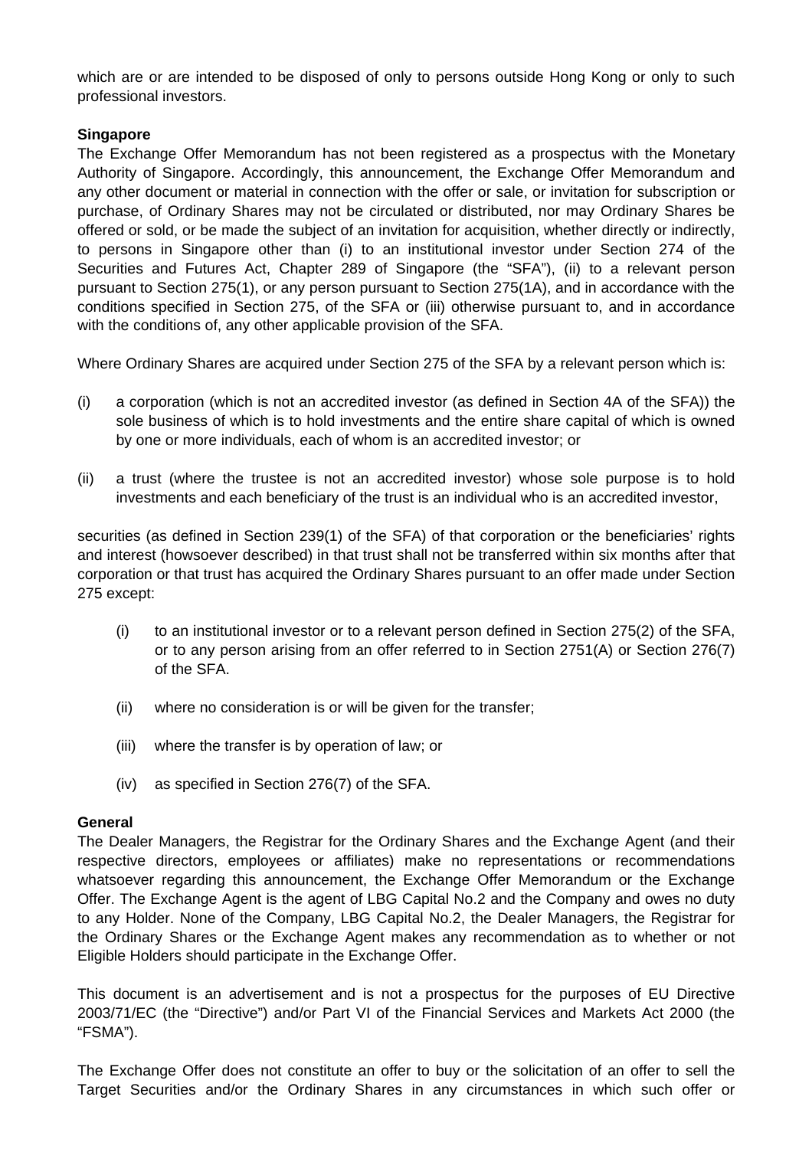which are or are intended to be disposed of only to persons outside Hong Kong or only to such professional investors.

# **Singapore**

The Exchange Offer Memorandum has not been registered as a prospectus with the Monetary Authority of Singapore. Accordingly, this announcement, the Exchange Offer Memorandum and any other document or material in connection with the offer or sale, or invitation for subscription or purchase, of Ordinary Shares may not be circulated or distributed, nor may Ordinary Shares be offered or sold, or be made the subject of an invitation for acquisition, whether directly or indirectly, to persons in Singapore other than (i) to an institutional investor under Section 274 of the Securities and Futures Act, Chapter 289 of Singapore (the "SFA"), (ii) to a relevant person pursuant to Section 275(1), or any person pursuant to Section 275(1A), and in accordance with the conditions specified in Section 275, of the SFA or (iii) otherwise pursuant to, and in accordance with the conditions of, any other applicable provision of the SFA.

Where Ordinary Shares are acquired under Section 275 of the SFA by a relevant person which is:

- (i) a corporation (which is not an accredited investor (as defined in Section 4A of the SFA)) the sole business of which is to hold investments and the entire share capital of which is owned by one or more individuals, each of whom is an accredited investor; or
- (ii) a trust (where the trustee is not an accredited investor) whose sole purpose is to hold investments and each beneficiary of the trust is an individual who is an accredited investor,

securities (as defined in Section 239(1) of the SFA) of that corporation or the beneficiaries' rights and interest (howsoever described) in that trust shall not be transferred within six months after that corporation or that trust has acquired the Ordinary Shares pursuant to an offer made under Section 275 except:

- (i) to an institutional investor or to a relevant person defined in Section 275(2) of the SFA, or to any person arising from an offer referred to in Section 2751(A) or Section 276(7) of the SFA.
- (ii) where no consideration is or will be given for the transfer;
- (iii) where the transfer is by operation of law; or
- (iv) as specified in Section 276(7) of the SFA.

# **General**

The Dealer Managers, the Registrar for the Ordinary Shares and the Exchange Agent (and their respective directors, employees or affiliates) make no representations or recommendations whatsoever regarding this announcement, the Exchange Offer Memorandum or the Exchange Offer. The Exchange Agent is the agent of LBG Capital No.2 and the Company and owes no duty to any Holder. None of the Company, LBG Capital No.2, the Dealer Managers, the Registrar for the Ordinary Shares or the Exchange Agent makes any recommendation as to whether or not Eligible Holders should participate in the Exchange Offer.

This document is an advertisement and is not a prospectus for the purposes of EU Directive 2003/71/EC (the "Directive") and/or Part VI of the Financial Services and Markets Act 2000 (the "FSMA").

The Exchange Offer does not constitute an offer to buy or the solicitation of an offer to sell the Target Securities and/or the Ordinary Shares in any circumstances in which such offer or